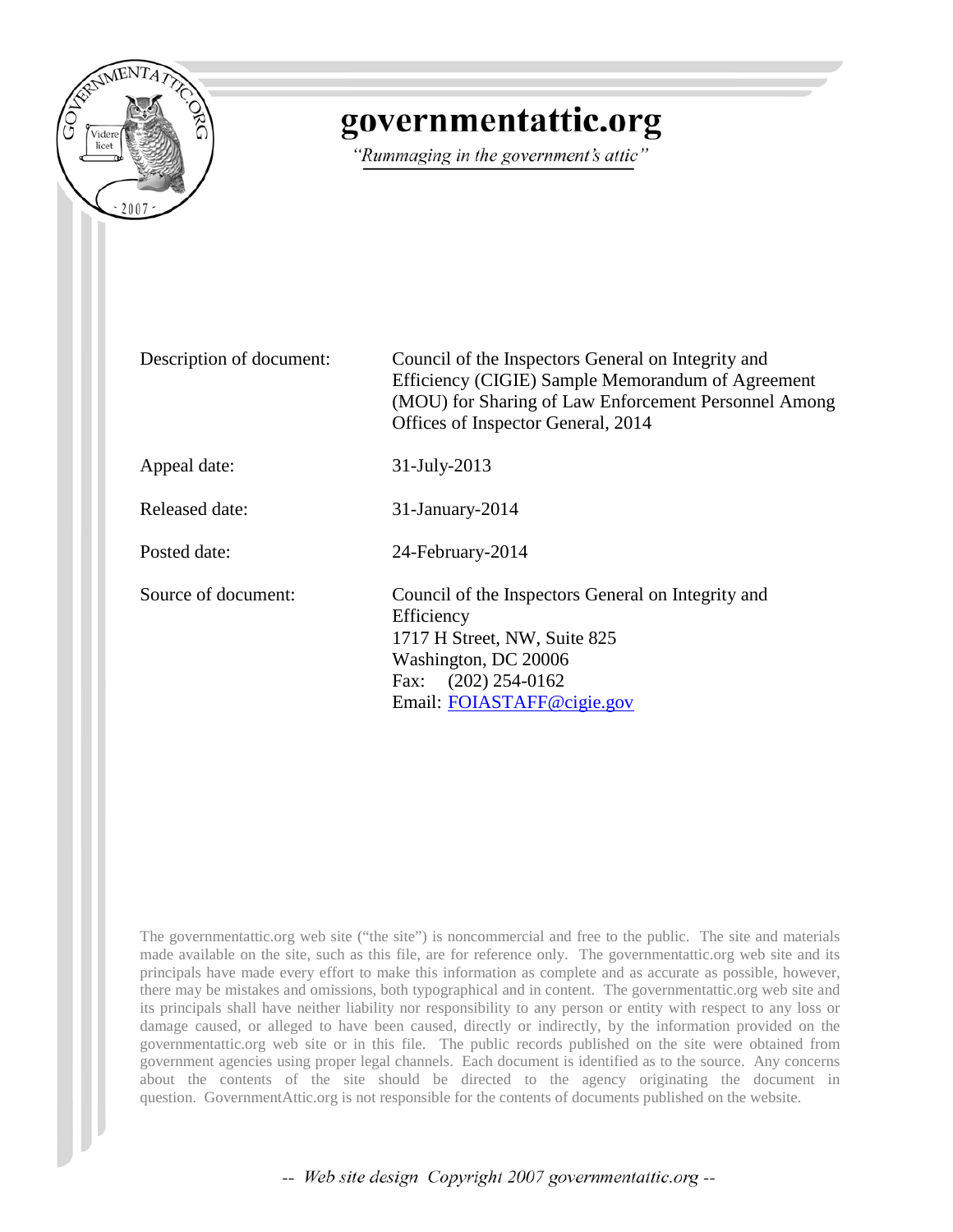

# governmentattic.org

"Rummaging in the government's attic"

Description of document: Council of the Inspectors General on Integrity and Efficiency (CIGIE) Sample Memorandum of Agreement (MOU) for Sharing of Law Enforcement Personnel Among Offices of Inspector General, 2014 Appeal date: 31-July-2013 Released date: 31-January-2014 Posted date: 24-February-2014 Source of document: Council of the Inspectors General on Integrity and **Efficiency** 1717 H Street, NW, Suite 825 Washington, DC 20006 Fax: (202) 254-0162 Email: [FOIASTAFF@cigie.gov](mailto:FOIASTAFF@cigie.gov)

The governmentattic.org web site ("the site") is noncommercial and free to the public. The site and materials made available on the site, such as this file, are for reference only. The governmentattic.org web site and its principals have made every effort to make this information as complete and as accurate as possible, however, there may be mistakes and omissions, both typographical and in content. The governmentattic.org web site and its principals shall have neither liability nor responsibility to any person or entity with respect to any loss or damage caused, or alleged to have been caused, directly or indirectly, by the information provided on the governmentattic.org web site or in this file. The public records published on the site were obtained from government agencies using proper legal channels. Each document is identified as to the source. Any concerns about the contents of the site should be directed to the agency originating the document in question. GovernmentAttic.org is not responsible for the contents of documents published on the website.

-- Web site design Copyright 2007 governmentattic.org --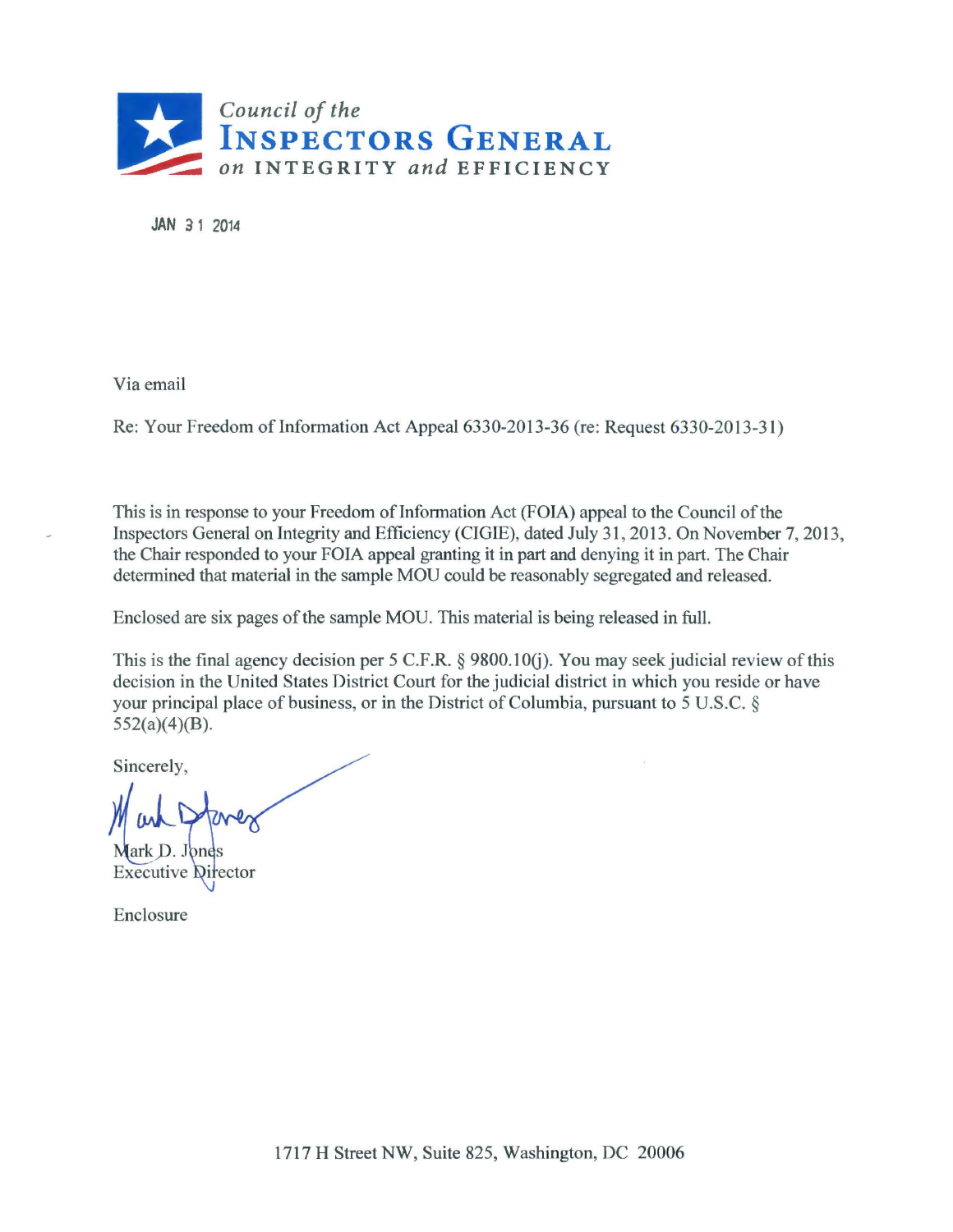

JAN 31 2014

Via email

Re: Your Freedom of Information Act Appeal 6330-2013-36 (re: Request 6330-2013-31)

This is in response to your Freedom of Information Act (FOIA) appeal to the Council of the Inspectors General on Integrity and Efficiency (CIGIE), dated July 31, 2013. On November 7, 2013, the Chair responded to your FOIA appeal granting it in part and denying it in part. The Chair determined that material in the sample MOU could be reasonably segregated and released.

Enclosed are six pages of the sample MOU. This material is being released in full.

This is the final agency decision per 5 C.F.R. § 9800.10(j). You may seek judicial review of this decision in the United States District Court for the judicial district in which you reside or have your principal place of business, or in the District of Columbia, pursuant to 5 U .S.C. § 552(a)(4)(B).

Sincerely,

Mark D. Jones **Executive Director** 

Enclosure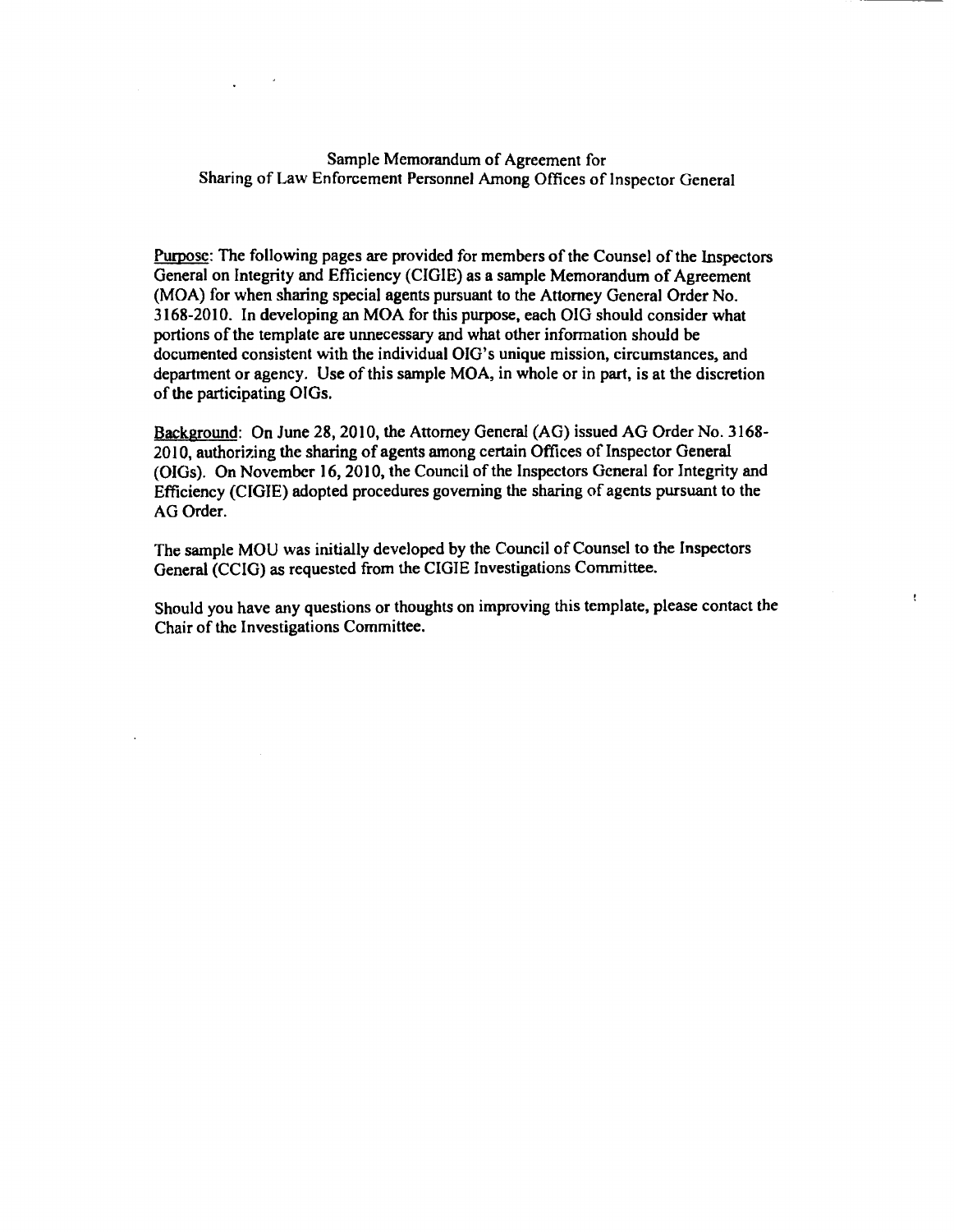#### Sample Memorandum of Agreement for Sharing of Law Enforcement Personnel Among Offices of Inspector General

Purpose: The following pages are provided for members of the Counsel of the Inspectors General on Integrity and Efficiency (CIGIE) as a sample Memorandum of Agreement (MOA) for when sharing special agents pursuant to the Attorney General Order No. 3168-2010. In developing an MOA for this purpose, each OIG should consider what portions of the template are unnecessary and what other information should be documented consistent with the individual OIG's unique mission, circumstances, and department or agency. Use of this sample MOA, in whole or in part, is at the discretion of the participating OIGs.

Background: On June 28, 2010, the Attorney General (AG) issued AG Order No. 3168- 2010, authorizing the sharing of agents among certain Offices of Inspector General (OIGs). On November 16, 2010, the Council of the Inspectors General for Integrity and Efficiency (CIGIE) adopted procedures governing the sharing of agents pursuant to the AG Order.

The sample MOU was initially developed by the Council of Counsel to the Inspectors General (CCIG) as requested from the CIGIE Investigations Committee.

Should you have any questions or thoughts on improving this template, please contact the Chair of the Investigations Committee.

ţ.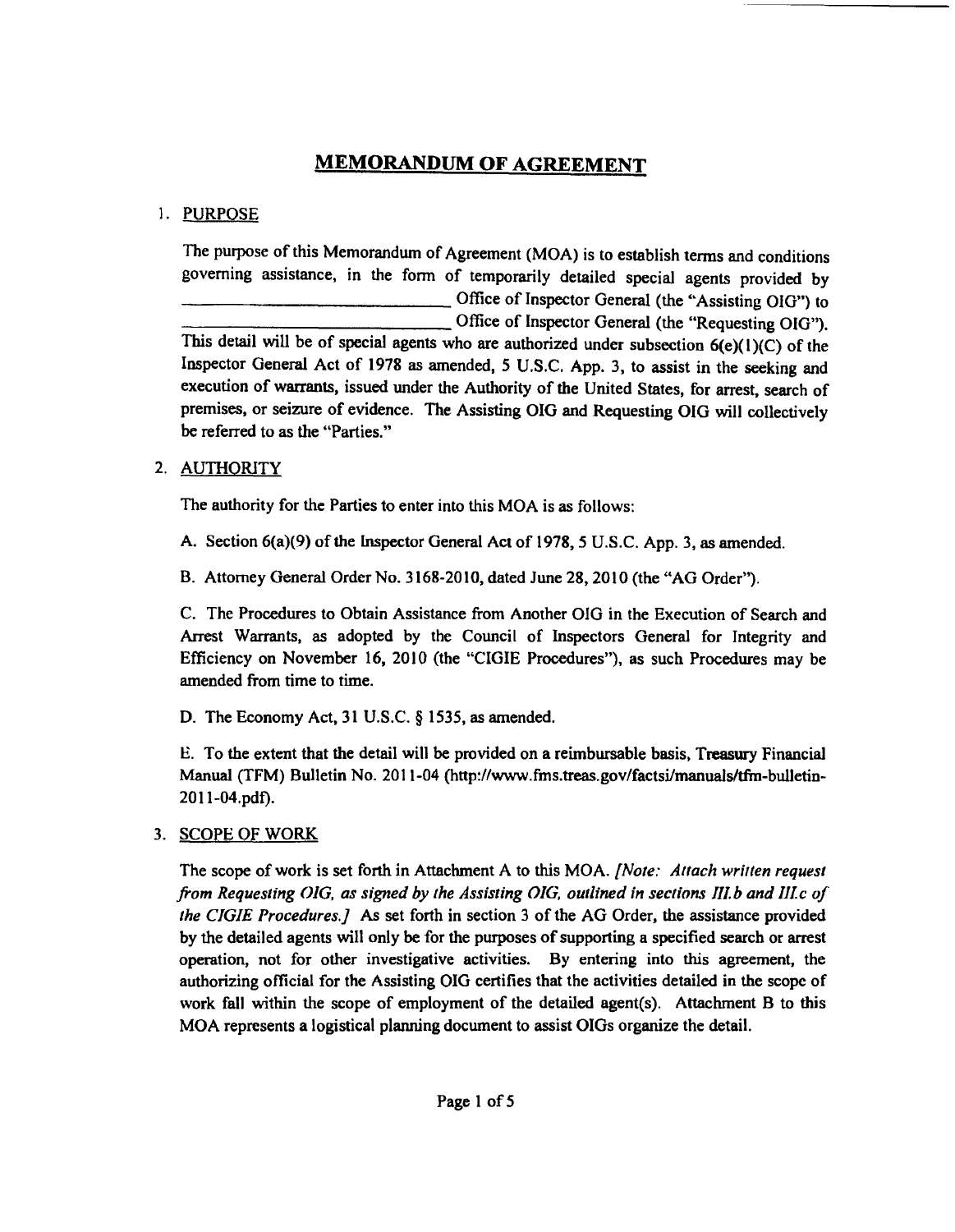# **MEMORANDUM OF AGREEMENT**

# 1. PURPOSE

The purpose of this Memorandum of Agreement (MOA) is to establish terms and conditions governing assistance, in the form of temporarily detailed special agents provided by<br>
Office of Inspector General (the "Assisting OIG") to<br>
Office of Inspector General (the "Assisting OIG") to -Office of Inspector General (the "Assisting OIG") to Office of Inspector General (the "Requesting OIG"). This detail will be of special agents who are authorized under subsection  $6(e)(1)(C)$  of the Inspector General Act of 1978 as amended, *5* U.S.C. App. 3, to assist in the seeking and execution of warrants, issued under the Authority of the United States, for arrest, search of premises, or seizure of evidence. The Assisting OIG and Requesting OIG will collectively he referred to as the "Parties."

# 2. AUTHORITY

The authority for the Parties to enter into this MOA is as follows:

A. Section 6(a){9) of the lnspector General Act of 1978, *5* U.S.C. App. 3, as amended.

B. Attorney General Order No. 3168-2010, dated June 28, 2010 (the "AG Order").

C. The Procedures to Obtain Assistance from Another 010 in the Execution of Search and Arrest Warrants, as adopted by the Council of Inspectors General for Integrity and Efficiency on November 16, 2010 (the "CIGIE Procedures"), as such Procedures may be amended from time to time.

D. The Economy Act, 31 U.S.C. § 1535, as amended.

E. To the extent that the detail will be provided on a reimbursable basis, Treasury Financial Manual (TFM) Bulletin No. 2011-04 (http://www.frns.treas.gov/factsi/manuals/tfrn-bulletin-2011-04.pdf).

# 3. SCOPE OF WORK

The scope of work is set forth in Attachment A to this MOA. *{Note: Attach wrirten request from Requesting OJG, as signed by the Assisting OJG, outlined in sections 111.b and Ille of the CJGIE Procedures.]* As set forth in section 3 of the AG Order, the assistance provided by the detailed agents will only be for the purposes of supporting a specified search or arrest operation, not for other investigative activities. By entering into this agreement, the authorizing official for the Assisting OIG certifies that the activities detailed in the scope of work fall within the scope of employment of the detailed agent(s). Attachment B to this MOA represents a logistical planning document to assist OIGs organize the detail.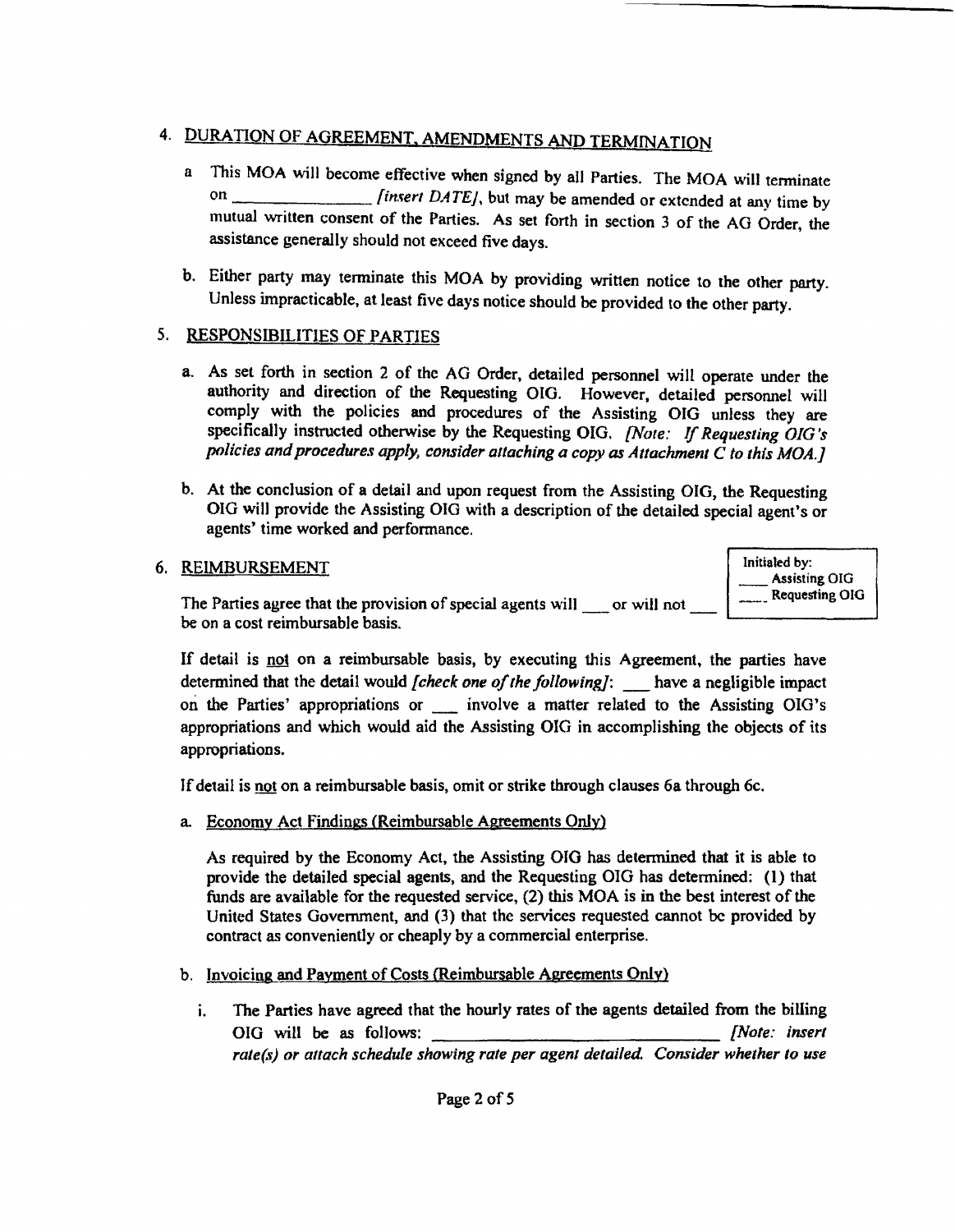# 4. DURATION OF AGREEMENT. AMENDMENTS AND TERMINATION

- a This MOA will become effective when signed by all Parties. The MOA will tenninate on \_\_\_\_\_\_\_\_\_\_\_\_\_\_\_\_\_*[insert DATE]*, but may be amended or extended at any time by mutual written consent of the Parties. As set forth in section 3 of the AG Order, the assistance generally should not exceed five days.
- b. Either party may terminate this MOA by providing written notice to the other party. Unless impracticable, at least five days notice should be provided to the other party.

# *5.* RESPONSIBILITIES OF PARTIES

- a. As set forth in section 2 of the AG Order, detailed personnel will operate under the authority and direction of the Requesting OIG. However, detailed personnel will comply with the policies and procedures of the Assisting OIG unless they are specifically instructed otherwise by the Requesting OIG. *{Note:* If *Requesting OIG 's*  policies and procedures apply, consider attaching a copy as Attachment C to this MOA.]
- b. At the conclusion of a detail and upon request from the Assisting OIG, the Requesting OIG will provide the Assisting OIG with a description of the detailed special agent's or agents' time worked and performance.

## 6. REIMBURSEMENT

The Parties agree that the provision of special agents will  $\Box$  or will not  $\Box$  Requesting OIG be on a cost reimbursable basis.

Initialed by: \_Assisting OIG Requesting OIG

If detail is not on a reimbursable basis, by executing this Agreement, the parties have determined that the detail would *[check one of the following]*: have a negligible impact on the Parties' appropriations or \_ involve a matter related to the Assisting OIG's appropriations and which would aid the Assisting OIG in accomplishing the objects of its appropriations.

If detail is not on a reimbursable basis, omit or strike through clauses 6a through 6c.

a. Economy Act Findings (Reimbursable Agreements Only)

As required by the Economy Act, the Assisting 010 has determined that it is able to provide the detailed special agents, and the Requesting OIG has determined: (I) that funds are available for the requested service, (2) this MOA is in the best interest of the United States Government, and (3) that the services requested cannot be provided by contract as conveniently or cheaply by a commercial enterprise.

- b. Invoicing and Payment of Costs {Reimbursable Agreements Only)
	- i. The Parties have agreed that the hourly rates of the agents detailed from the billing OIG will be as follows: *[Note: insert*  rate(s) or attach schedule showing rate per agent detailed. Consider whether to use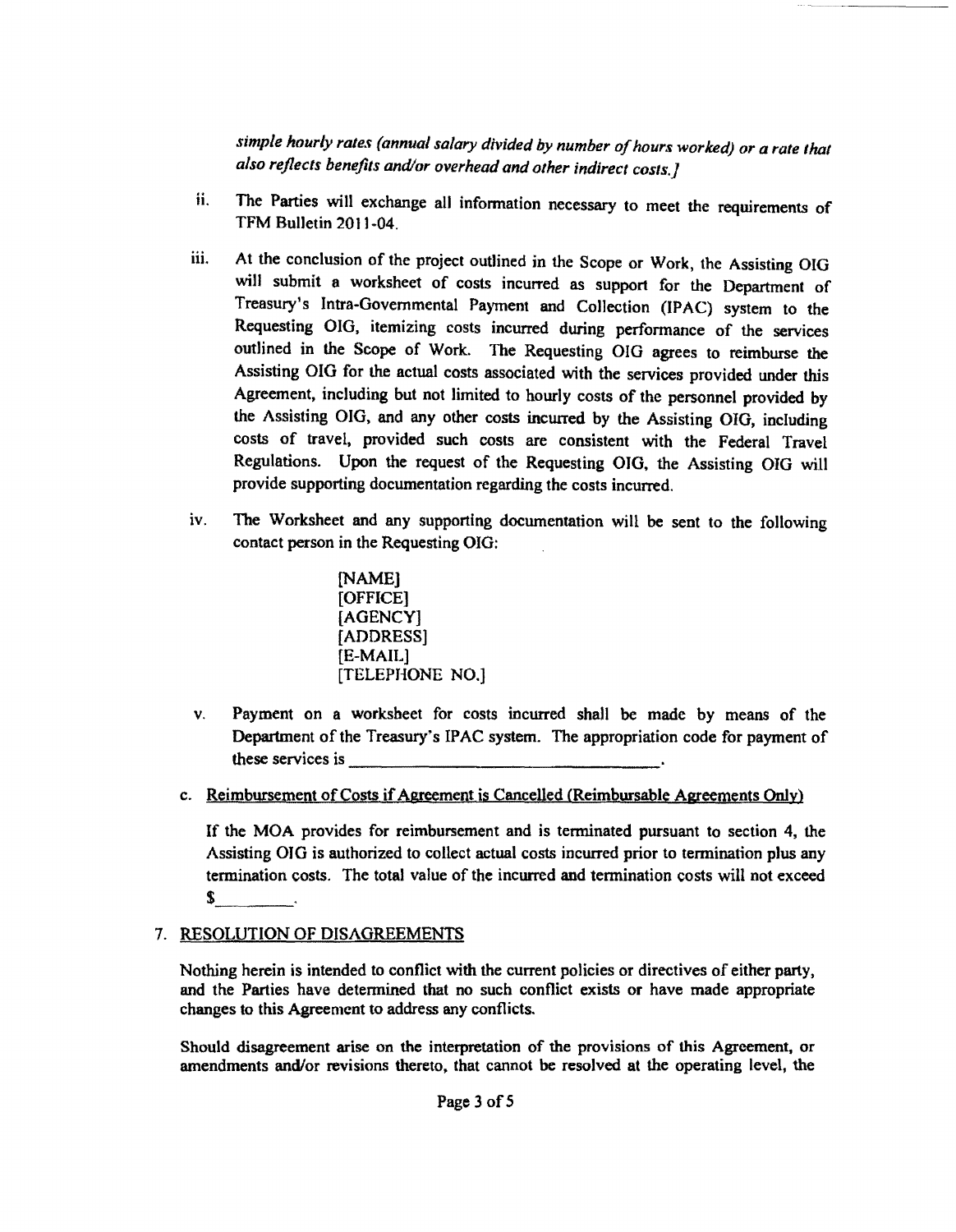*simple hourly rates (annual salary divided by number of hours worked) or a rate that also reflects benefits and/or overhead and other indirect costs.]* 

- ii. The Parties will exchange all information necessary to meet the requirements of TFM Bulletin 2011-04.
- iii. At the conclusion of the project outlined in the Scope or Work, the Assisting OIG will submit a worksheet of costs incurred as support for the Department of Treasury's Intra-Governmental Payment and Collection (IPAC) system to the Requesting OIG. itemizing costs incurred during performance of the services outlined in the Scope of Work. The Requesting OIG agrees to reimburse the Assisting OIG for the actual costs associated with the services provided under this Agreement, including but not limited to hourly costs of the personnel provided by the Assisting OIG, and any other costs incurred by the Assisting 010, including costs of travel, provided such costs are consistent with the Federal Travel Regulations. Upon the request of the Requesting OJG, the Assisting OIG will provide supporting documentation regarding the costs incurred.
- iv. The Worksheet and any supporting documentation will be sent to the following contact person in the Requesting OIG:

[NAME) [OFFICE] [AGENCY] [ADDRESS] [E-MAIL] [TELEPHONE NO.]

- v. Payment on a worksheet for costs incurred shall be made by means of the Department of the Treasury's IPAC system. The appropriation code for payment of these services is  $\frac{1}{\sqrt{1-\frac{1}{2}}\sqrt{1-\frac{1}{2}}\sqrt{1-\frac{1}{2}}\sqrt{1-\frac{1}{2}}\sqrt{1-\frac{1}{2}}\sqrt{1-\frac{1}{2}}\sqrt{1-\frac{1}{2}}\sqrt{1-\frac{1}{2}}\sqrt{1-\frac{1}{2}}\sqrt{1-\frac{1}{2}}\sqrt{1-\frac{1}{2}}\sqrt{1-\frac{1}{2}}\sqrt{1-\frac{1}{2}}\sqrt{1-\frac{1}{2}}\sqrt{1-\frac{1}{2}}\sqrt{1-\frac{1}{2}}\sqrt{1-\frac{1}{2}}\sqrt{1-\frac{1}{2$
- c. Reimbursement of Costs if Agreement is Cancelled (Reimbursable Agreements Only)

If the MOA provides for reimbursement and is terminated pursuant to section 4, the Assisting OJG is authorized to collect actual costs incurred prior to termination plus any termination costs. The total value of the incurred and termination costs will not exceed  $s$   $\qquad$ 

## 7. RESOLUTION OF DISAGREEMENTS

Nothing herein is intended to conflict with the current policies or directives of either party, and the Parties have determined that no such conflict exists or have made appropriate changes to this Agreement to address any conflicts.

Should disagreement arise on the interpretation of the provisions of this Agreement, or amendments and/or revisions thereto, that cannot be resolved at the operating level, the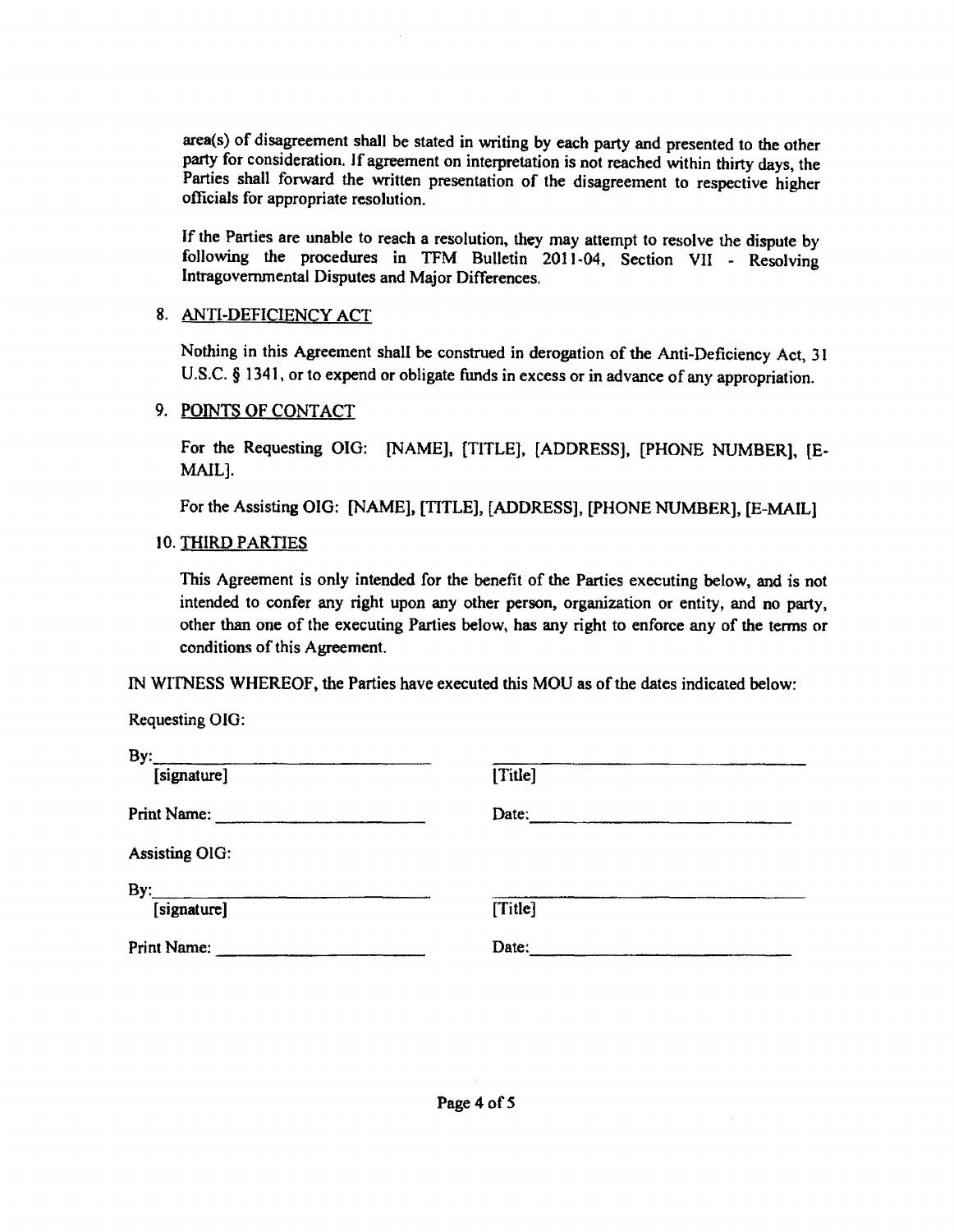area(s) of disagreement shall be stated in writing by each party and presented to the other party for consideration. If agreement on interpretation is not reached within thirty days, the Parties shall forward the written presentation of the disagreement to respective higher officials for appropriate resolution.

If the Parties are unable to reach a resolution, they may attempt to resolve the dispute by following the procedures in TFM Bulletin 2011~04. Section VII - Resolving Intragovemmental Disputes and Major Differences.

#### 8. ANTI-DEFICIENCY ACT

Nothing in this Agreement shall be construed in derogation of the Anti-Deficiency Act, 31 U.S.C. § 1341, or to expend or obligate funds in excess or in advance of any appropriation.

#### 9. POINTS OF CONTACT

For the Requesting 010: [NAME], [TITLE), [ADDRESS], [PHONE NUMBER], {E-MAIL].

For the Assisting 010: [NAME], [TITLE], [ADDRESS], [PHONE NUMBER], [E-MAIL]

#### 10. THIRD PARTIES

This Agreement is only intended for the benefit of the Parties executing below, and is not intended to confer any right upon any other person, organization or entity, and no party, other than one of the executing Parties below, has any right to enforce any of the terms or conditions of this Agreement.

IN WITNESS WHEREOF, the Parties have executed this MOU as of the dates indicated below:

Requesting 010:

| <i>iteducating OTO.</i> |         |
|-------------------------|---------|
|                         |         |
| $By:$ [signature]       | [Title] |
| Print Name:             | Date:   |
| <b>Assisting OIG:</b>   |         |
| By:                     |         |
| [signature]             | [Title] |
| Print Name:             | Date:   |